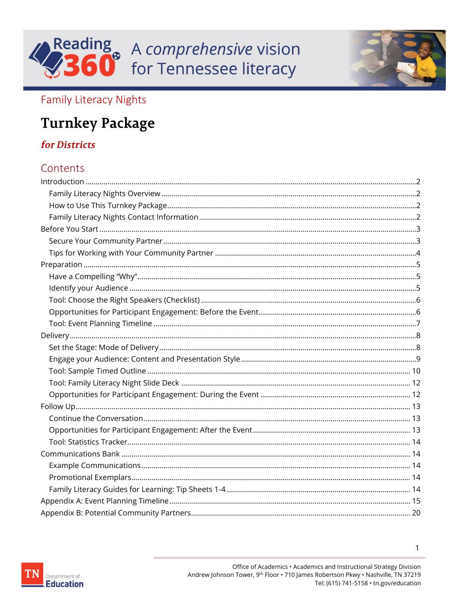



### **Family Literacy Nights**

## **Turnkey Package**

### **for Districts**

### Contents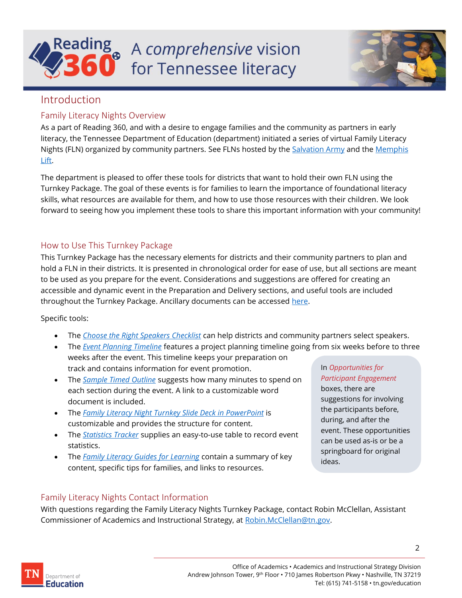

![](_page_1_Picture_1.jpeg)

#### <span id="page-1-0"></span>Introduction

#### <span id="page-1-1"></span>Family Literacy Nights Overview

As a part of Reading 360, and with a desire to engage families and the community as partners in early literacy, the Tennessee Department of Education (department) initiated a series of virtual Family Literacy Nights (FLN) organized by community partners. See FLNs hosted by the **Salvation Army and the Memphis** [Lift.](https://www.facebook.com/TheMemphisLift/videos/392340178865448/)

The department is pleased to offer these tools for districts that want to hold their own FLN using the Turnkey Package. The goal of these events is for families to learn the importance of foundational literacy skills, what resources are available for them, and how to use those resources with their children. We look forward to seeing how you implement these tools to share this important information with your community!

#### <span id="page-1-2"></span>How to Use This Turnkey Package

This Turnkey Package has the necessary elements for districts and their community partners to plan and hold a FLN in their districts. It is presented in chronological order for ease of use, but all sections are meant to be used as you prepare for the event. Considerations and suggestions are offered for creating an accessible and dynamic event in the Preparation and Delivery sections, and useful tools are included throughout the Turnkey Package. Ancillary documents can be accessed [here.](https://bestforall.tnedu.gov/resource/family-literacy-nights-turnkey-package)

#### Specific tools:

- The *[Choose the Right Speakers Checklist](#page-4-3)* can help districts and community partners select speakers.
- The *[Event Planning Timeline](#page-6-0)* features a project planning timeline going from six weeks before to three weeks after the event. This timeline keeps your preparation on track and contains information for event promotion.
- The *[Sample Timed Outline](#page-9-0)* suggests how many minutes to spend on each section during the event. A link to a customizable word document is included.
- The *[Family Literacy Night Turnkey](#page-11-0) Slide Deck in PowerPoint* is customizable and provides the structure for content.
- The *[Statistics](#page-12-2) Tracker* supplies an easy-to-use table to record event statistics.
- The *[Family Literacy Guides for Learning](#page-13-4)* contain a summary of key content, specific tips for families, and links to resources.

#### In *Opportunities for Participant Engagement*

boxes, there are suggestions for involving the participants before, during, and after the event. These opportunities can be used as-is or be a springboard for original ideas.

#### <span id="page-1-3"></span>Family Literacy Nights Contact Information

With questions regarding the Family Literacy Nights Turnkey Package, contact Robin McClellan, Assistant Commissioner of Academics and Instructional Strategy, at [Robin.McClellan@tn.gov.](mailto:Robin.McClellan@tn.gov)

![](_page_1_Picture_19.jpeg)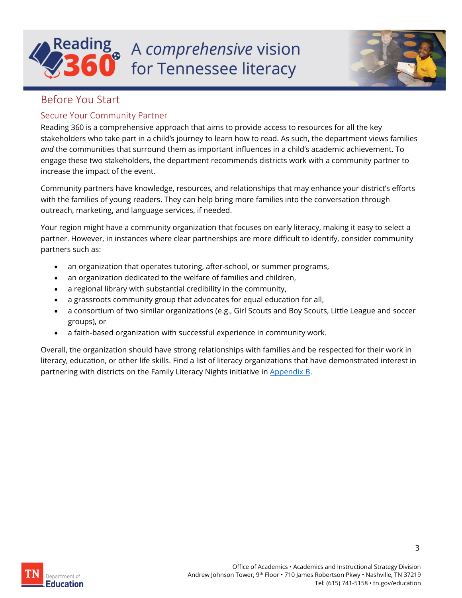# A comprehensive vision for Tennessee literacy

![](_page_2_Picture_1.jpeg)

### <span id="page-2-0"></span>Before You Start

#### <span id="page-2-1"></span>Secure Your Community Partner

Reading 360 is a comprehensive approach that aims to provide access to resources for all the key stakeholders who take part in a child's journey to learn how to read. As such, the department views families *and* the communities that surround them as important influences in a child's academic achievement. To engage these two stakeholders, the department recommends districts work with a community partner to increase the impact of the event.

Community partners have knowledge, resources, and relationships that may enhance your district's efforts with the families of young readers. They can help bring more families into the conversation through outreach, marketing, and language services, if needed.

Your region might have a community organization that focuses on early literacy, making it easy to select a partner. However, in instances where clear partnerships are more difficult to identify, consider community partners such as:

- an organization that operates tutoring, after-school, or summer programs,
- an organization dedicated to the welfare of families and children,
- a regional library with substantial credibility in the community,
- a grassroots community group that advocates for equal education for all,
- a consortium of two similar organizations (e.g., Girl Scouts and Boy Scouts, Little League and soccer groups), or
- a faith-based organization with successful experience in community work.

Overall, the organization should have strong relationships with families and be respected for their work in literacy, education, or other life skills. Find a list of literacy organizations that have demonstrated interest in partnering with districts on the Family Literacy Nights initiative in [Appendix B.](#page-19-0)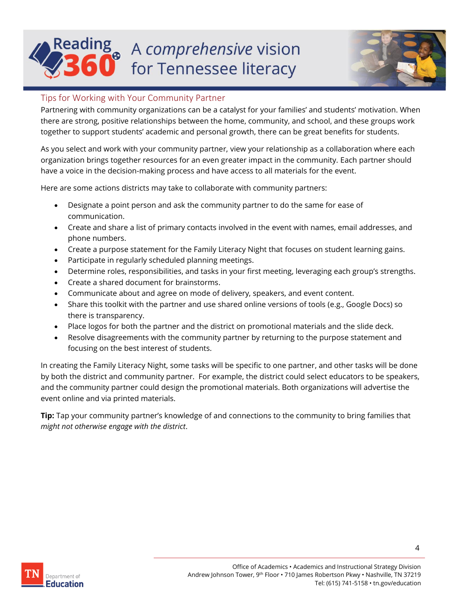# a A comprehensive vision for Tennessee literacy

![](_page_3_Picture_1.jpeg)

#### <span id="page-3-0"></span>Tips for Working with Your Community Partner

Partnering with community organizations can be a catalyst for your families' and students' motivation. When there are strong, positive relationships between the home, community, and school, and these groups work together to support students' academic and personal growth, there can be great benefits for students.

As you select and work with your community partner, view your relationship as a collaboration where each organization brings together resources for an even greater impact in the community. Each partner should have a voice in the decision-making process and have access to all materials for the event.

Here are some actions districts may take to collaborate with community partners:

- Designate a point person and ask the community partner to do the same for ease of communication.
- Create and share a list of primary contacts involved in the event with names, email addresses, and phone numbers.
- Create a purpose statement for the Family Literacy Night that focuses on student learning gains.
- Participate in regularly scheduled planning meetings.
- Determine roles, responsibilities, and tasks in your first meeting, leveraging each group's strengths.
- Create a shared document for brainstorms.
- Communicate about and agree on mode of delivery, speakers, and event content.
- Share this toolkit with the partner and use shared online versions of tools (e.g., Google Docs) so there is transparency.
- Place logos for both the partner and the district on promotional materials and the slide deck.
- Resolve disagreements with the community partner by returning to the purpose statement and focusing on the best interest of students.

In creating the Family Literacy Night, some tasks will be specific to one partner, and other tasks will be done by both the district and community partner. For example, the district could select educators to be speakers, and the community partner could design the promotional materials. Both organizations will advertise the event online and via printed materials.

**Tip:** Tap your community partner's knowledge of and connections to the community to bring families that *might not otherwise engage with the district*.

![](_page_3_Picture_18.jpeg)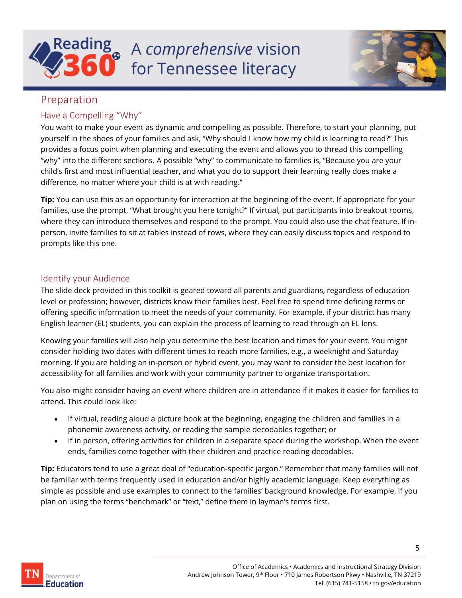![](_page_4_Picture_0.jpeg)

![](_page_4_Picture_1.jpeg)

#### <span id="page-4-0"></span>Preparation

#### <span id="page-4-1"></span>Have a Compelling "Why"

You want to make your event as dynamic and compelling as possible. Therefore, to start your planning, put yourself in the shoes of your families and ask, "Why should I know how my child is learning to read?" This provides a focus point when planning and executing the event and allows you to thread this compelling "why" into the different sections. A possible "why" to communicate to families is, "Because you are your child's first and most influential teacher, and what you do to support their learning really does make a difference, no matter where your child is at with reading."

**Tip:** You can use this as an opportunity for interaction at the beginning of the event. If appropriate for your families, use the prompt, "What brought you here tonight?" If virtual, put participants into breakout rooms, where they can introduce themselves and respond to the prompt. You could also use the chat feature. If inperson, invite families to sit at tables instead of rows, where they can easily discuss topics and respond to prompts like this one.

#### <span id="page-4-2"></span>Identify your Audience

The slide deck provided in this toolkit is geared toward all parents and guardians, regardless of education level or profession; however, districts know their families best. Feel free to spend time defining terms or offering specific information to meet the needs of your community. For example, if your district has many English learner (EL) students, you can explain the process of learning to read through an EL lens.

Knowing your families will also help you determine the best location and times for your event. You might consider holding two dates with different times to reach more families, e.g., a weeknight and Saturday morning. If you are holding an in-person or hybrid event, you may want to consider the best location for accessibility for all families and work with your community partner to organize transportation.

You also might consider having an event where children are in attendance if it makes it easier for families to attend. This could look like:

- If virtual, reading aloud a picture book at the beginning, engaging the children and families in a phonemic awareness activity, or reading the sample decodables together; or
- <span id="page-4-3"></span>• If in person, offering activities for children in a separate space during the workshop. When the event ends, families come together with their children and practice reading decodables.

**Tip:** Educators tend to use a great deal of "education-specific jargon." Remember that many families will not be familiar with terms frequently used in education and/or highly academic language. Keep everything as simple as possible and use examples to connect to the families' background knowledge. For example, if you plan on using the terms "benchmark" or "text," define them in layman's terms first.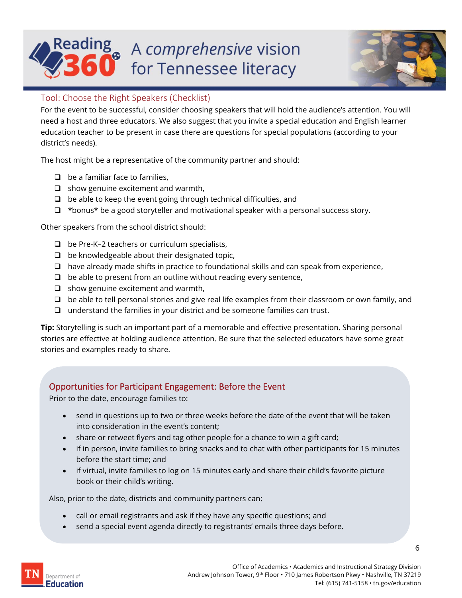# Reading  $A$  comprehensive vision for Tennessee literacy

![](_page_5_Picture_1.jpeg)

#### <span id="page-5-0"></span>Tool: Choose the Right Speakers (Checklist)

For the event to be successful, consider choosing speakers that will hold the audience's attention. You will need a host and three educators. We also suggest that you invite a special education and English learner education teacher to be present in case there are questions for special populations (according to your district's needs).

The host might be a representative of the community partner and should:

- ❑ be a familiar face to families,
- ❑ show genuine excitement and warmth,
- ❑ be able to keep the event going through technical difficulties, and
- $\Box$  \*bonus\* be a good storyteller and motivational speaker with a personal success story.

Other speakers from the school district should:

- ❑ be Pre-K–2 teachers or curriculum specialists,
- $\Box$  be knowledgeable about their designated topic,
- ❑ have already made shifts in practice to foundational skills and can speak from experience,
- $\Box$  be able to present from an outline without reading every sentence,
- ❑ show genuine excitement and warmth,
- ❑ be able to tell personal stories and give real life examples from their classroom or own family, and
- ❑ understand the families in your district and be someone families can trust.

**Tip:** Storytelling is such an important part of a memorable and effective presentation. Sharing personal stories are effective at holding audience attention. Be sure that the selected educators have some great stories and examples ready to share.

#### Opportunities for Participant Engagement: Before the Event

Prior to the date, encourage families to:

- send in questions up to two or three weeks before the date of the event that will be taken into consideration in the event's content;
- share or retweet flyers and tag other people for a chance to win a gift card;
- if in person, invite families to bring snacks and to chat with other participants for 15 minutes before the start time; and
- if virtual, invite families to log on 15 minutes early and share their child's favorite picture book or their child's writing.

Also, prior to the date, districts and community partners can:

- call or email registrants and ask if they have any specific questions; and
- send a special event agenda directly to registrants' emails three days before.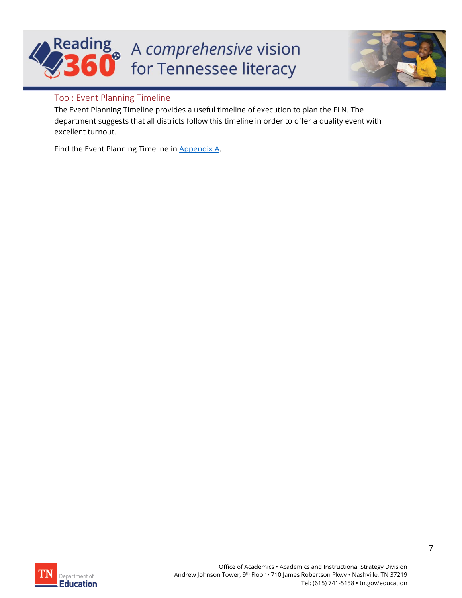# Reading A comprehensive vision for Tennessee literacy

![](_page_6_Picture_1.jpeg)

#### <span id="page-6-0"></span>Tool: Event Planning Timeline

The Event Planning Timeline provides a useful timeline of execution to plan the FLN. The department suggests that all districts follow this timeline in order to offer a quality event with excellent turnout.

Find the Event Planning Timeline i[n Appendix A.](#page-14-0)

![](_page_6_Picture_5.jpeg)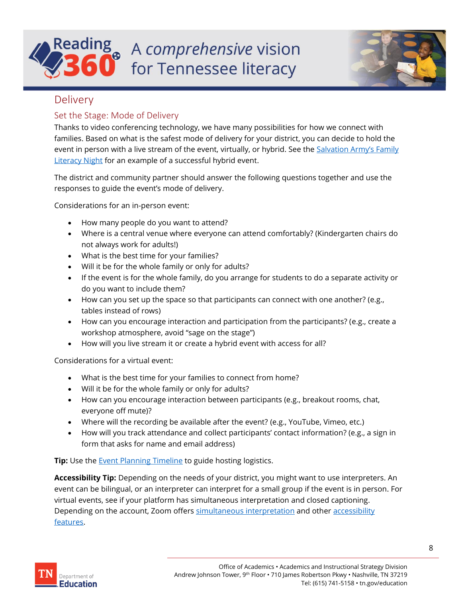## a A comprehensive vision for Tennessee literacy

![](_page_7_Picture_1.jpeg)

#### <span id="page-7-0"></span>Delivery

#### <span id="page-7-1"></span>Set the Stage: Mode of Delivery

Thanks to video conferencing technology, we have many possibilities for how we connect with families. Based on what is the safest mode of delivery for your district, you can decide to hold the event in person with a live stream of the event, virtually, or hybrid. See the **Salvation Army's Family [Literacy Night](https://www.youtube.com/watch?v=6-ReIejLQPQ) for an example of a successful hybrid event.** 

The district and community partner should answer the following questions together and use the responses to guide the event's mode of delivery.

Considerations for an in-person event:

- How many people do you want to attend?
- Where is a central venue where everyone can attend comfortably? (Kindergarten chairs do not always work for adults!)
- What is the best time for your families?
- Will it be for the whole family or only for adults?
- If the event is for the whole family, do you arrange for students to do a separate activity or do you want to include them?
- How can you set up the space so that participants can connect with one another? (e.g., tables instead of rows)
- How can you encourage interaction and participation from the participants? (e.g., create a workshop atmosphere, avoid "sage on the stage")
- How will you live stream it or create a hybrid event with access for all?

Considerations for a virtual event:

- What is the best time for your families to connect from home?
- Will it be for the whole family or only for adults?
- How can you encourage interaction between participants (e.g., breakout rooms, chat, everyone off mute)?
- Where will the recording be available after the event? (e.g., YouTube, Vimeo, etc.)
- How will you track attendance and collect participants' contact information? (e.g., a sign in form that asks for name and email address)

**Tip:** Use the **Event Planning Timeline** to guide hosting logistics.

**Accessibility Tip:** Depending on the needs of your district, you might want to use interpreters. An event can be bilingual, or an interpreter can interpret for a small group if the event is in person. For virtual events, see if your platform has simultaneous interpretation and closed captioning. Depending on the account, Zoom offers [simultaneous interpretation](https://www.youtube.com/watch?app=desktop&v=nldGntmE7mQ) and other accessibility [features.](https://zoom.us/accessibility)

![](_page_7_Picture_23.jpeg)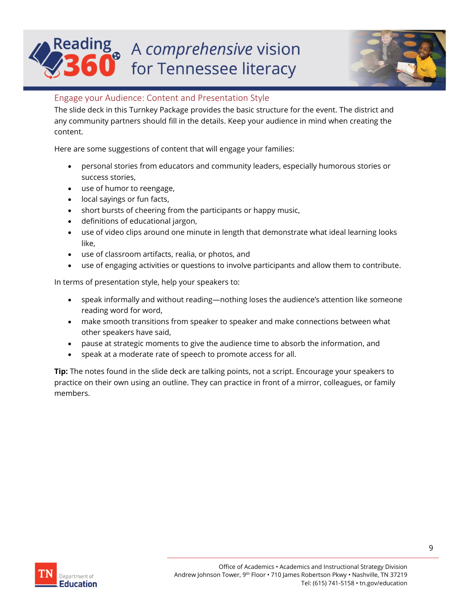## a A comprehensive vision for Tennessee literacy

![](_page_8_Picture_1.jpeg)

#### <span id="page-8-0"></span>Engage your Audience: Content and Presentation Style

The slide deck in this Turnkey Package provides the basic structure for the event. The district and any community partners should fill in the details. Keep your audience in mind when creating the content.

Here are some suggestions of content that will engage your families:

- personal stories from educators and community leaders, especially humorous stories or success stories,
- use of humor to reengage,
- local sayings or fun facts,
- short bursts of cheering from the participants or happy music,
- definitions of educational jargon,
- use of video clips around one minute in length that demonstrate what ideal learning looks like,
- use of classroom artifacts, realia, or photos, and
- use of engaging activities or questions to involve participants and allow them to contribute.

In terms of presentation style, help your speakers to:

- speak informally and without reading—nothing loses the audience's attention like someone reading word for word,
- make smooth transitions from speaker to speaker and make connections between what other speakers have said,
- pause at strategic moments to give the audience time to absorb the information, and
- speak at a moderate rate of speech to promote access for all.

**Tip:** The notes found in the slide deck are talking points, not a script. Encourage your speakers to practice on their own using an outline. They can practice in front of a mirror, colleagues, or family members.

![](_page_8_Picture_19.jpeg)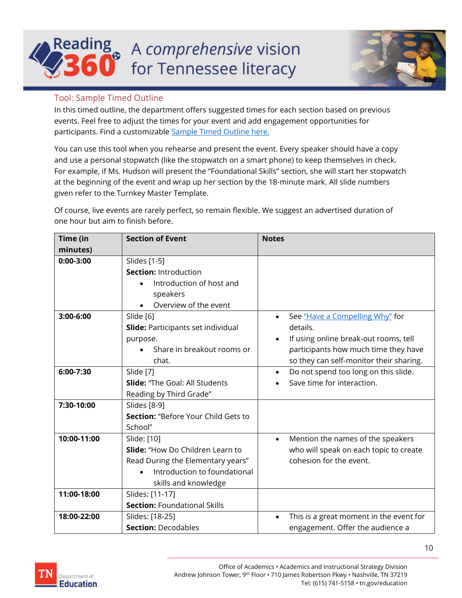## **Reading** a A comprehensive vision for Tennessee literacy

![](_page_9_Picture_1.jpeg)

#### <span id="page-9-0"></span>Tool: Sample Timed Outline

In this timed outline, the department offers suggested times for each section based on previous events. Feel free to adjust the times for your event and add engagement opportunities for participants. Find a customizable [Sample Timed Outline](https://bestforall.tnedu.gov/sites/default/files/inline-files/Sample%20Timed%20Outline%20.docx) here.

You can use this tool when you rehearse and present the event. Every speaker should have a copy and use a personal stopwatch (like the stopwatch on a smart phone) to keep themselves in check. For example, if Ms. Hudson will present the "Foundational Skills" section, she will start her stopwatch at the beginning of the event and wrap up her section by the 18-minute mark. All slide numbers given refer to the Turnkey Master Template.

Of course, live events are rarely perfect, so remain flexible. We suggest an advertised duration of one hour but aim to finish before.

| Time (in    | <b>Section of Event</b>                                                                                                                                          | <b>Notes</b>                                                                                                                                                            |
|-------------|------------------------------------------------------------------------------------------------------------------------------------------------------------------|-------------------------------------------------------------------------------------------------------------------------------------------------------------------------|
| minutes)    |                                                                                                                                                                  |                                                                                                                                                                         |
| $0:00-3:00$ | Slides [1-5]<br><b>Section: Introduction</b><br>Introduction of host and<br>speakers<br>Overview of the event                                                    |                                                                                                                                                                         |
| 3:00-6:00   | Slide [6]<br><b>Slide: Participants set individual</b><br>purpose.<br>Share in breakout rooms or<br>chat.                                                        | See "Have a Compelling Why" for<br>details.<br>If using online break-out rooms, tell<br>participants how much time they have<br>so they can self-monitor their sharing. |
| 6:00-7:30   | Slide [7]<br><b>Slide: "The Goal: All Students</b><br>Reading by Third Grade"                                                                                    | Do not spend too long on this slide.<br>$\bullet$<br>Save time for interaction.                                                                                         |
| 7:30-10:00  | Slides [8-9]<br>Section: "Before Your Child Gets to<br>School"                                                                                                   |                                                                                                                                                                         |
| 10:00-11:00 | Slide: [10]<br><b>Slide:</b> "How Do Children Learn to<br>Read During the Elementary years"<br>Introduction to foundational<br>$\bullet$<br>skills and knowledge | Mention the names of the speakers<br>$\bullet$<br>who will speak on each topic to create<br>cohesion for the event.                                                     |
| 11:00-18:00 | Slides: [11-17]<br><b>Section: Foundational Skills</b>                                                                                                           |                                                                                                                                                                         |
| 18:00-22:00 | Slides: [18-25]<br><b>Section: Decodables</b>                                                                                                                    | This is a great moment in the event for<br>$\bullet$<br>engagement. Offer the audience a                                                                                |

![](_page_9_Picture_7.jpeg)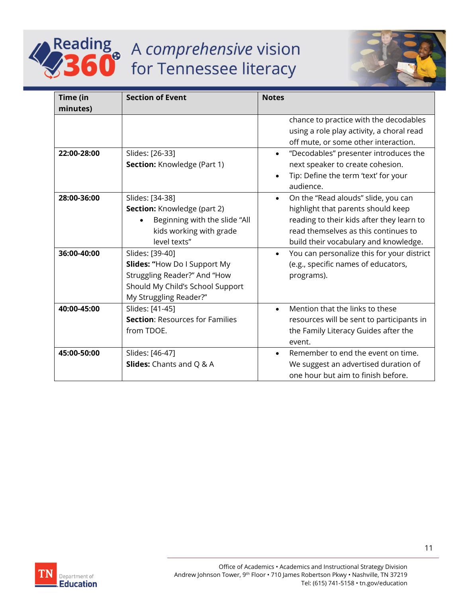![](_page_10_Picture_0.jpeg)

# Reading A comprehensive vision

![](_page_10_Picture_2.jpeg)

| Time (in    | <b>Section of Event</b>                | <b>Notes</b>                                            |
|-------------|----------------------------------------|---------------------------------------------------------|
| minutes)    |                                        |                                                         |
|             |                                        | chance to practice with the decodables                  |
|             |                                        | using a role play activity, a choral read               |
|             |                                        | off mute, or some other interaction.                    |
| 22:00-28:00 | Slides: [26-33]                        | "Decodables" presenter introduces the<br>$\bullet$      |
|             | <b>Section: Knowledge (Part 1)</b>     | next speaker to create cohesion.                        |
|             |                                        | Tip: Define the term 'text' for your<br>$\bullet$       |
|             |                                        | audience.                                               |
| 28:00-36:00 | Slides: [34-38]                        | On the "Read alouds" slide, you can<br>$\bullet$        |
|             | Section: Knowledge (part 2)            | highlight that parents should keep                      |
|             | Beginning with the slide "All          | reading to their kids after they learn to               |
|             | kids working with grade                | read themselves as this continues to                    |
|             | level texts"                           | build their vocabulary and knowledge.                   |
| 36:00-40:00 | Slides: [39-40]                        | You can personalize this for your district<br>$\bullet$ |
|             | <b>Slides: "How Do I Support My</b>    | (e.g., specific names of educators,                     |
|             | Struggling Reader?" And "How           | programs).                                              |
|             | Should My Child's School Support       |                                                         |
|             | My Struggling Reader?"                 |                                                         |
| 40:00-45:00 | Slides: [41-45]                        | Mention that the links to these<br>$\bullet$            |
|             | <b>Section: Resources for Families</b> | resources will be sent to participants in               |
|             | from TDOE.                             | the Family Literacy Guides after the                    |
|             |                                        | event.                                                  |
| 45:00-50:00 | Slides: [46-47]                        | Remember to end the event on time.<br>$\bullet$         |
|             | <b>Slides:</b> Chants and Q & A        | We suggest an advertised duration of                    |
|             |                                        | one hour but aim to finish before.                      |

![](_page_10_Picture_4.jpeg)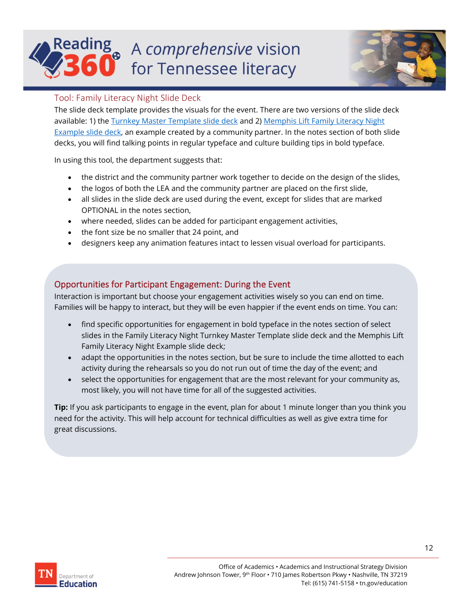# A comprehensive vision for Tennessee literacy

![](_page_11_Picture_1.jpeg)

#### <span id="page-11-0"></span>Tool: Family Literacy Night Slide Deck

The slide deck template provides the visuals for the event. There are two versions of the slide deck available: 1) the Turnkey [Master Template slide deck](https://bestforall.tnedu.gov/sites/default/files/inline-files/Family%20Literacy%20Night%20Turnkey%20Master%20Template%20PPT.pptx) and 2) Memphis Lift Family Literacy Night [Example slide deck,](https://bestforall.tnedu.gov/sites/default/files/inline-files/Memphis%20LIFT%20Example%20Family%20Literacy%20Night%20PPT_1.pptx) an example created by a community partner. In the notes section of both slide decks, you will find talking points in regular typeface and culture building tips in bold typeface.

In using this tool, the department suggests that:

- the district and the community partner work together to decide on the design of the slides,
- the logos of both the LEA and the community partner are placed on the first slide,
- all slides in the slide deck are used during the event, except for slides that are marked OPTIONAL in the notes section,
- where needed, slides can be added for participant engagement activities,
- the font size be no smaller that 24 point, and
- designers keep any animation features intact to lessen visual overload for participants.

#### Opportunities for Participant Engagement: During the Event

Interaction is important but choose your engagement activities wisely so you can end on time. Families will be happy to interact, but they will be even happier if the event ends on time. You can:

- find specific opportunities for engagement in bold typeface in the notes section of select slides in the Family Literacy Night Turnkey Master Template slide deck and the Memphis Lift Family Literacy Night Example slide deck;
- adapt the opportunities in the notes section, but be sure to include the time allotted to each activity during the rehearsals so you do not run out of time the day of the event; and
- select the opportunities for engagement that are the most relevant for your community as, most likely, you will not have time for all of the suggested activities.

**Tip:** If you ask participants to engage in the event, plan for about 1 minute longer than you think you need for the activity. This will help account for technical difficulties as well as give extra time for great discussions.

![](_page_11_Picture_17.jpeg)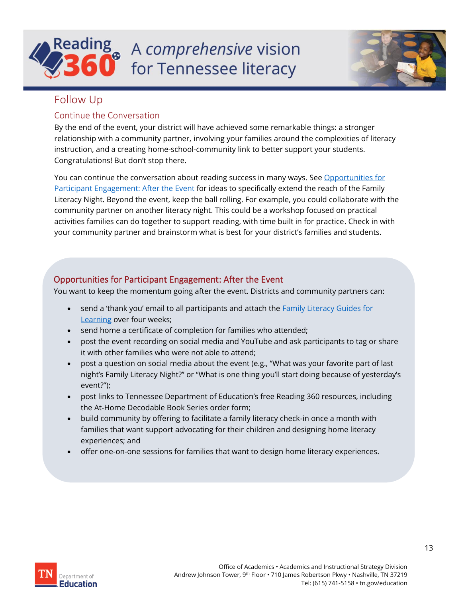![](_page_12_Picture_0.jpeg)

![](_page_12_Picture_1.jpeg)

#### <span id="page-12-0"></span>Follow Up

#### <span id="page-12-1"></span>Continue the Conversation

By the end of the event, your district will have achieved some remarkable things: a stronger relationship with a community partner, involving your families around the complexities of literacy instruction, and a creating home-school-community link to better support your students. Congratulations! But don't stop there.

You can continue the conversation about reading success in many ways. See Opportunities for [Participant Engagement: After the Event](#page-12-3) for ideas to specifically extend the reach of the Family Literacy Night. Beyond the event, keep the ball rolling. For example, you could collaborate with the community partner on another literacy night. This could be a workshop focused on practical activities families can do together to support reading, with time built in for practice. Check in with your community partner and brainstorm what is best for your district's families and students.

#### <span id="page-12-3"></span>Opportunities for Participant Engagement: After the Event

You want to keep the momentum going after the event. Districts and community partners can:

- send a 'thank you' email to all participants and attach the Family Literacy Guides for [Learning](#page-13-4) over four weeks;
- send home a certificate of completion for families who attended;
- post the event recording on social media and YouTube and ask participants to tag or share it with other families who were not able to attend;
- post a question on social media about the event (e.g., "What was your favorite part of last night's Family Literacy Night?" or "What is one thing you'll start doing because of yesterday's event?");
- post links to Tennessee Department of Education's free Reading 360 resources, including the At-Home Decodable Book Series order form;
- build community by offering to facilitate a family literacy check-in once a month with families that want support advocating for their children and designing home literacy experiences; and
- <span id="page-12-2"></span>• offer one-on-one sessions for families that want to design home literacy experiences.

![](_page_12_Picture_15.jpeg)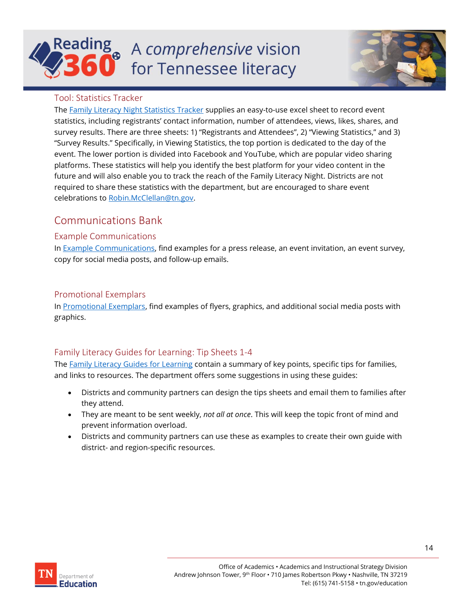# A comprehensive vision for Tennessee literacy

![](_page_13_Picture_1.jpeg)

#### <span id="page-13-0"></span>Tool: Statistics Tracker

The [Family Literacy Night Statistics](https://bestforall.tnedu.gov/sites/default/files/inline-files/Family%20Literacy%20Night%20Statistics%20Tracker.xlsx) Tracker supplies an easy-to-use excel sheet to record event statistics, including registrants' contact information, number of attendees, views, likes, shares, and survey results. There are three sheets: 1) "Registrants and Attendees", 2) "Viewing Statistics," and 3) "Survey Results." Specifically, in Viewing Statistics, the top portion is dedicated to the day of the event. The lower portion is divided into Facebook and YouTube, which are popular video sharing platforms. These statistics will help you identify the best platform for your video content in the future and will also enable you to track the reach of the Family Literacy Night. Districts are not required to share these statistics with the department, but are encouraged to share event celebrations to [Robin.McClellan@tn.gov.](mailto:Robin.McClellan@tn.gov)

### <span id="page-13-1"></span>Communications Bank

#### <span id="page-13-2"></span>Example Communications

In [Example Communications,](https://bestforall.tnedu.gov/sites/default/files/inline-files/Family%20Literacy%20Nights%20Example%20Communications.docx) find examples for a press release, an event invitation, an event survey, copy for social media posts, and follow-up emails.

#### <span id="page-13-3"></span>Promotional Exemplars

In [Promotional Exemplars,](https://bestforall.tnedu.gov/sites/default/files/inline-files/Family%20Literacy%20Nights%20Promotional%20Exemplars.pptx) find examples of flyers, graphics, and additional social media posts with graphics.

#### <span id="page-13-4"></span>[Family Literacy Guides for Learning:](https://tdoe.sharepoint.com/sites/FamiliesandCommunities/Shared%20Documents/General/District%20Family%20Literacy%20Nights/Post%20Event%20One-pager/Post-event%20One-pager%20Draft%20%208.6.21%20LONG%20.docx) Tip Sheets 1-4

The [Family Literacy Guides for Learning](https://bestforall.tnedu.gov/sites/default/files/inline-files/Family%20Literacy%20Guides%20for%20Learning.docx) contain a summary of key points, specific tips for families, and links to resources. The department offers some suggestions in using these guides:

- Districts and community partners can design the tips sheets and email them to families after they attend.
- They are meant to be sent weekly, *not all at once*. This will keep the topic front of mind and prevent information overload.
- Districts and community partners can use these as examples to create their own guide with district- and region-specific resources.

![](_page_13_Picture_14.jpeg)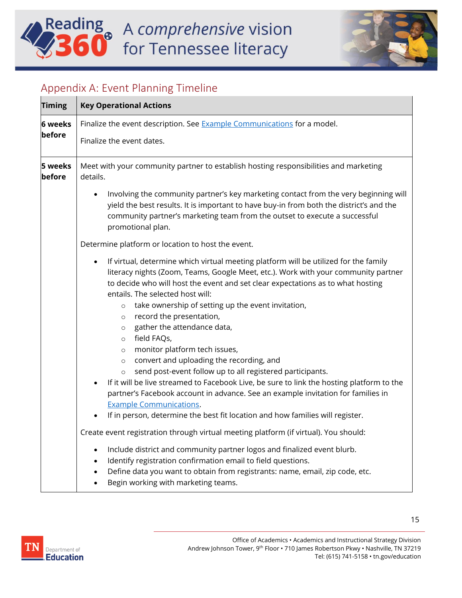# Reading A comprehensive vision

![](_page_14_Picture_1.jpeg)

### <span id="page-14-0"></span>Appendix A: Event Planning Timeline

| <b>Timing</b>            | <b>Key Operational Actions</b>                                                                                                                                                                                                                                                                                                                                                                                                                                                                                                                                                                                                                                                                                                                                                                                                                                                                        |
|--------------------------|-------------------------------------------------------------------------------------------------------------------------------------------------------------------------------------------------------------------------------------------------------------------------------------------------------------------------------------------------------------------------------------------------------------------------------------------------------------------------------------------------------------------------------------------------------------------------------------------------------------------------------------------------------------------------------------------------------------------------------------------------------------------------------------------------------------------------------------------------------------------------------------------------------|
| <b>6 weeks</b><br>before | Finalize the event description. See <b>Example Communications</b> for a model.<br>Finalize the event dates.                                                                                                                                                                                                                                                                                                                                                                                                                                                                                                                                                                                                                                                                                                                                                                                           |
|                          |                                                                                                                                                                                                                                                                                                                                                                                                                                                                                                                                                                                                                                                                                                                                                                                                                                                                                                       |
| 5 weeks<br>before        | Meet with your community partner to establish hosting responsibilities and marketing<br>details.                                                                                                                                                                                                                                                                                                                                                                                                                                                                                                                                                                                                                                                                                                                                                                                                      |
|                          | Involving the community partner's key marketing contact from the very beginning will<br>$\bullet$<br>yield the best results. It is important to have buy-in from both the district's and the<br>community partner's marketing team from the outset to execute a successful<br>promotional plan.                                                                                                                                                                                                                                                                                                                                                                                                                                                                                                                                                                                                       |
|                          | Determine platform or location to host the event.                                                                                                                                                                                                                                                                                                                                                                                                                                                                                                                                                                                                                                                                                                                                                                                                                                                     |
|                          | If virtual, determine which virtual meeting platform will be utilized for the family<br>$\bullet$<br>literacy nights (Zoom, Teams, Google Meet, etc.). Work with your community partner<br>to decide who will host the event and set clear expectations as to what hosting<br>entails. The selected host will:<br>take ownership of setting up the event invitation,<br>$\circ$<br>record the presentation,<br>$\circ$<br>gather the attendance data,<br>$\circ$<br>field FAQs,<br>$\circ$<br>monitor platform tech issues,<br>$\circ$<br>convert and uploading the recording, and<br>$\circ$<br>send post-event follow up to all registered participants.<br>$\circ$<br>If it will be live streamed to Facebook Live, be sure to link the hosting platform to the<br>$\bullet$<br>partner's Facebook account in advance. See an example invitation for families in<br><b>Example Communications.</b> |
|                          | If in person, determine the best fit location and how families will register.<br>$\bullet$                                                                                                                                                                                                                                                                                                                                                                                                                                                                                                                                                                                                                                                                                                                                                                                                            |
|                          | Create event registration through virtual meeting platform (if virtual). You should:                                                                                                                                                                                                                                                                                                                                                                                                                                                                                                                                                                                                                                                                                                                                                                                                                  |
|                          | Include district and community partner logos and finalized event blurb.<br>$\bullet$<br>Identify registration confirmation email to field questions.<br>$\bullet$<br>Define data you want to obtain from registrants: name, email, zip code, etc.<br>$\bullet$<br>Begin working with marketing teams.<br>$\bullet$                                                                                                                                                                                                                                                                                                                                                                                                                                                                                                                                                                                    |

![](_page_14_Picture_4.jpeg)

15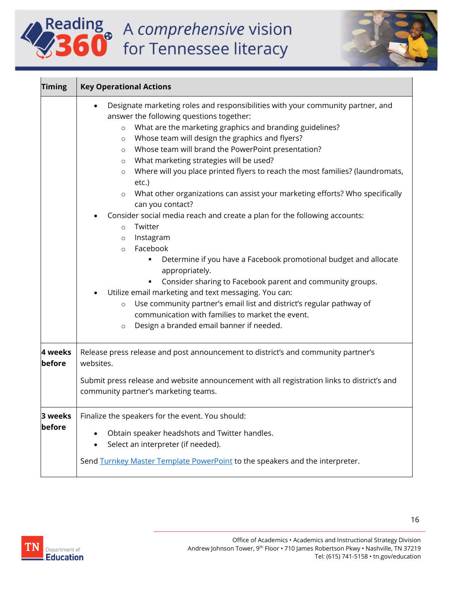# Reading A comprehensive vision

![](_page_15_Picture_1.jpeg)

| <b>Timing</b>     | <b>Key Operational Actions</b>                                                                                                                                                                                                                                                                                                                                                                                                                                                                                                                                                                                                                                                                                                                                                                                                                                                                                                                                                                                                                                                                                                                                              |
|-------------------|-----------------------------------------------------------------------------------------------------------------------------------------------------------------------------------------------------------------------------------------------------------------------------------------------------------------------------------------------------------------------------------------------------------------------------------------------------------------------------------------------------------------------------------------------------------------------------------------------------------------------------------------------------------------------------------------------------------------------------------------------------------------------------------------------------------------------------------------------------------------------------------------------------------------------------------------------------------------------------------------------------------------------------------------------------------------------------------------------------------------------------------------------------------------------------|
|                   | Designate marketing roles and responsibilities with your community partner, and<br>answer the following questions together:<br>What are the marketing graphics and branding guidelines?<br>$\circ$<br>Whose team will design the graphics and flyers?<br>$\circ$<br>Whose team will brand the PowerPoint presentation?<br>$\circ$<br>What marketing strategies will be used?<br>$\circ$<br>Where will you place printed flyers to reach the most families? (laundromats,<br>$\circ$<br>etc.)<br>What other organizations can assist your marketing efforts? Who specifically<br>$\circ$<br>can you contact?<br>Consider social media reach and create a plan for the following accounts:<br>Twitter<br>$\circ$<br>Instagram<br>$\circ$<br>Facebook<br>$\circ$<br>Determine if you have a Facebook promotional budget and allocate<br>٠<br>appropriately.<br>Consider sharing to Facebook parent and community groups.<br>Utilize email marketing and text messaging. You can:<br>Use community partner's email list and district's regular pathway of<br>$\circ$<br>communication with families to market the event.<br>Design a branded email banner if needed.<br>$\circ$ |
| 4 weeks<br>before | Release press release and post announcement to district's and community partner's<br>websites.<br>Submit press release and website announcement with all registration links to district's and<br>community partner's marketing teams.                                                                                                                                                                                                                                                                                                                                                                                                                                                                                                                                                                                                                                                                                                                                                                                                                                                                                                                                       |
| before            | <b>3 weeks</b>   Finalize the speakers for the event. You should:<br>Obtain speaker headshots and Twitter handles.<br>Select an interpreter (if needed).<br>$\bullet$<br>Send Turnkey Master Template PowerPoint to the speakers and the interpreter.                                                                                                                                                                                                                                                                                                                                                                                                                                                                                                                                                                                                                                                                                                                                                                                                                                                                                                                       |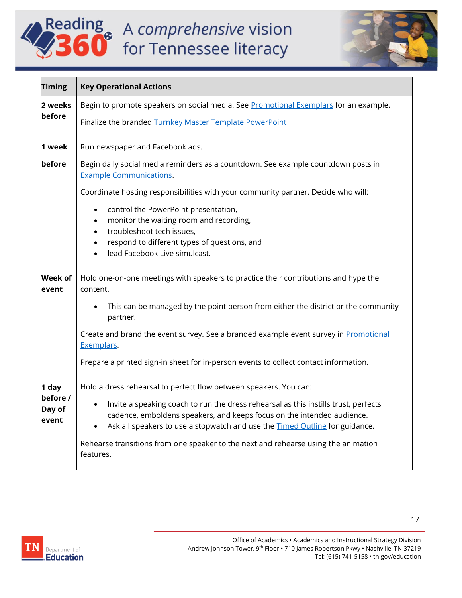# Reading<br>360 for Tennessee literacy

![](_page_16_Picture_1.jpeg)

| <b>Timing</b>                        | <b>Key Operational Actions</b>                                                                                                                                                                                                                                                                                                                                                                                              |
|--------------------------------------|-----------------------------------------------------------------------------------------------------------------------------------------------------------------------------------------------------------------------------------------------------------------------------------------------------------------------------------------------------------------------------------------------------------------------------|
| 2 weeks<br>before                    | Begin to promote speakers on social media. See Promotional Exemplars for an example.<br>Finalize the branded Turnkey Master Template PowerPoint                                                                                                                                                                                                                                                                             |
| 1 week                               | Run newspaper and Facebook ads.                                                                                                                                                                                                                                                                                                                                                                                             |
| before                               | Begin daily social media reminders as a countdown. See example countdown posts in<br><b>Example Communications.</b>                                                                                                                                                                                                                                                                                                         |
|                                      | Coordinate hosting responsibilities with your community partner. Decide who will:                                                                                                                                                                                                                                                                                                                                           |
|                                      | control the PowerPoint presentation,<br>$\bullet$<br>monitor the waiting room and recording,<br>$\bullet$<br>troubleshoot tech issues,<br>$\bullet$<br>respond to different types of questions, and<br>$\bullet$<br>lead Facebook Live simulcast.                                                                                                                                                                           |
|                                      |                                                                                                                                                                                                                                                                                                                                                                                                                             |
| <b>Week of</b><br>event              | Hold one-on-one meetings with speakers to practice their contributions and hype the<br>content.                                                                                                                                                                                                                                                                                                                             |
|                                      | This can be managed by the point person from either the district or the community<br>partner.                                                                                                                                                                                                                                                                                                                               |
|                                      | Create and brand the event survey. See a branded example event survey in Promotional<br>Exemplars.                                                                                                                                                                                                                                                                                                                          |
|                                      | Prepare a printed sign-in sheet for in-person events to collect contact information.                                                                                                                                                                                                                                                                                                                                        |
| 1 day<br>before /<br>Day of<br>event | Hold a dress rehearsal to perfect flow between speakers. You can:<br>Invite a speaking coach to run the dress rehearsal as this instills trust, perfects<br>$\bullet$<br>cadence, emboldens speakers, and keeps focus on the intended audience.<br>Ask all speakers to use a stopwatch and use the <b>Timed Outline</b> for guidance.<br>Rehearse transitions from one speaker to the next and rehearse using the animation |
|                                      | features.                                                                                                                                                                                                                                                                                                                                                                                                                   |

![](_page_16_Picture_3.jpeg)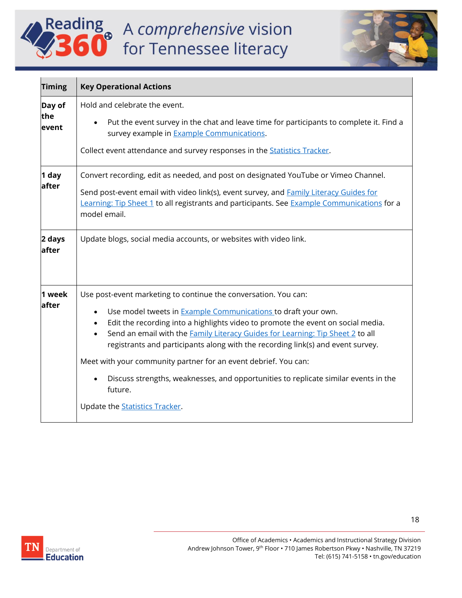# Reading<br>360 for Tennessee literacy

![](_page_17_Picture_1.jpeg)

| <b>Timing</b>          | <b>Key Operational Actions</b>                                                                                                                                                                                                                                                                                                                                                                                                                                                                                                                                                     |
|------------------------|------------------------------------------------------------------------------------------------------------------------------------------------------------------------------------------------------------------------------------------------------------------------------------------------------------------------------------------------------------------------------------------------------------------------------------------------------------------------------------------------------------------------------------------------------------------------------------|
| Day of<br>the<br>event | Hold and celebrate the event.<br>Put the event survey in the chat and leave time for participants to complete it. Find a<br>survey example in <b>Example Communications</b> .<br>Collect event attendance and survey responses in the <b>Statistics Tracker</b> .                                                                                                                                                                                                                                                                                                                  |
| 1 day<br>after         | Convert recording, edit as needed, and post on designated YouTube or Vimeo Channel.<br>Send post-event email with video link(s), event survey, and <b>Family Literacy Guides for</b><br>Learning: Tip Sheet 1 to all registrants and participants. See Example Communications for a<br>model email.                                                                                                                                                                                                                                                                                |
| 2 days<br>after        | Update blogs, social media accounts, or websites with video link.                                                                                                                                                                                                                                                                                                                                                                                                                                                                                                                  |
| 1 week<br>after        | Use post-event marketing to continue the conversation. You can:<br>Use model tweets in <b>Example Communications</b> to draft your own.<br>Edit the recording into a highlights video to promote the event on social media.<br>Send an email with the Family Literacy Guides for Learning: Tip Sheet 2 to all<br>$\bullet$<br>registrants and participants along with the recording link(s) and event survey.<br>Meet with your community partner for an event debrief. You can:<br>Discuss strengths, weaknesses, and opportunities to replicate similar events in the<br>future. |
|                        | Update the <b>Statistics Tracker</b> .                                                                                                                                                                                                                                                                                                                                                                                                                                                                                                                                             |

![](_page_17_Picture_3.jpeg)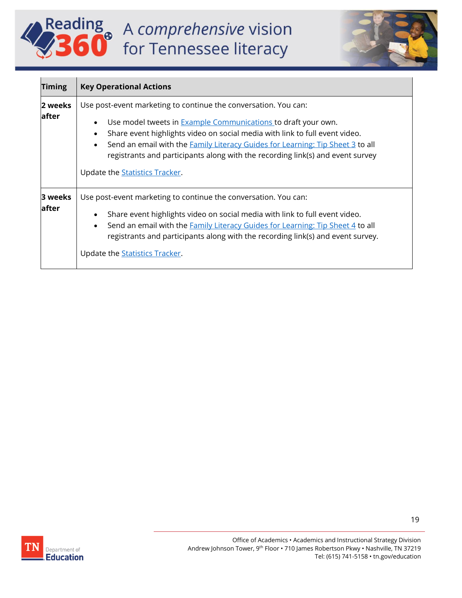# Reading<br>360 for Tennessee literacy

![](_page_18_Picture_1.jpeg)

| <b>Timing</b>    | <b>Key Operational Actions</b>                                                                                                                                                                                                                                                                                                                                                                                                                           |
|------------------|----------------------------------------------------------------------------------------------------------------------------------------------------------------------------------------------------------------------------------------------------------------------------------------------------------------------------------------------------------------------------------------------------------------------------------------------------------|
| 2 weeks<br>after | Use post-event marketing to continue the conversation. You can:<br>Use model tweets in <b>Example Communications</b> to draft your own.<br>$\bullet$<br>Share event highlights video on social media with link to full event video.<br>Send an email with the <b>Family Literacy Guides for Learning: Tip Sheet 3 to all</b><br>registrants and participants along with the recording link(s) and event survey<br>Update the <b>Statistics Tracker</b> . |
| 3 weeks<br>after | Use post-event marketing to continue the conversation. You can:<br>Share event highlights video on social media with link to full event video.<br>Send an email with the <b>Family Literacy Guides for Learning: Tip Sheet 4</b> to all<br>$\bullet$<br>registrants and participants along with the recording link(s) and event survey.<br>Update the <b>Statistics Tracker</b> .                                                                        |

![](_page_18_Picture_3.jpeg)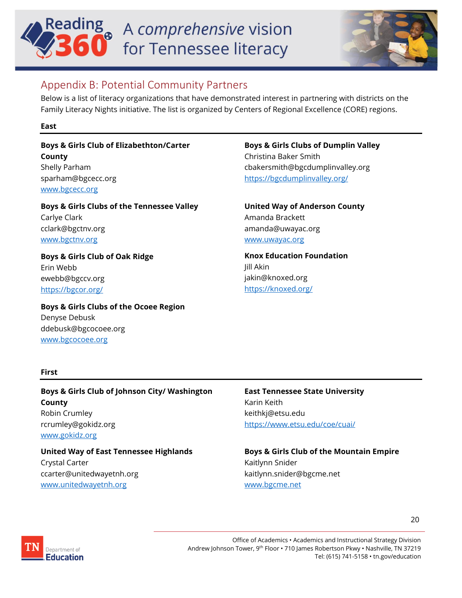## **Reading** <sup>®</sup> A comprehensive vision for Tennessee literacy

![](_page_19_Picture_1.jpeg)

#### <span id="page-19-0"></span>Appendix B: Potential Community Partners

Below is a list of literacy organizations that have demonstrated interest in partnering with districts on the Family Literacy Nights initiative. The list is organized by Centers of Regional Excellence (CORE) regions.

#### **East**

**Boys & Girls Club of Elizabethton/Carter County** Shelly Parham sparham@bgcecc.org [www.bgcecc.org](http://www.bgcecc.org/)

**Boys & Girls Clubs of the Tennessee Valley** Carlye Clark cclark@bgctnv.org [www.bgctnv.org](http://www.bgctnv.org/)

**Boys & Girls Club of Oak Ridge** Erin Webb ewebb@bgccv.org <https://bgcor.org/>

**Boys & Girls Clubs of the Ocoee Region** Denyse Debusk ddebusk@bgcocoee.org [www.bgcocoee.org](http://www.bgcocoee.org/)

#### **Boys & Girls Clubs of Dumplin Valley**

Christina Baker Smith cbakersmith@bgcdumplinvalley.org <https://bgcdumplinvalley.org/>

**United Way of Anderson County** Amanda Brackett amanda@uwayac.org [www.uwayac.org](http://www.uwayac.org/)

**Knox Education Foundation** Jill Akin jakin@knoxed.org <https://knoxed.org/>

#### **First**

**Boys & Girls Club of Johnson City/ Washington County**  Robin Crumley rcrumley@gokidz.org [www.gokidz.org](http://www.gokidz.org/)

**United Way of East Tennessee Highlands**  Crystal Carter ccarter@unitedwayetnh.org [www.unitedwayetnh.org](http://www.unitedwayetnh.org/)

#### **East Tennessee State University**  Karin Keith keithkj@etsu.edu <https://www.etsu.edu/coe/cuai/>

**Boys & Girls Club of the Mountain Empire** Kaitlynn Snider kaitlynn.snider@bgcme.net [www.bgcme.net](http://www.bgcme.net/)

20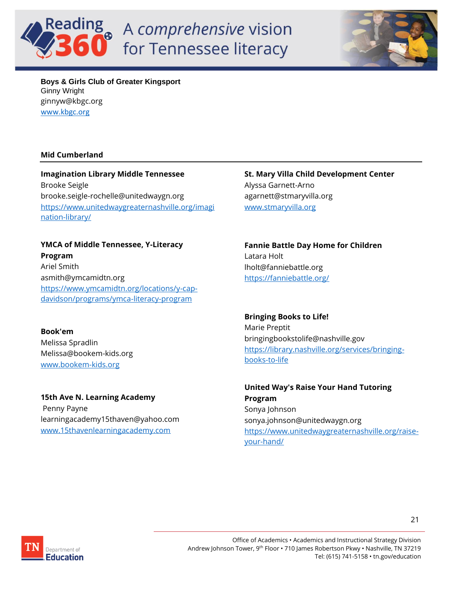## **Reading** A comprehensive vision for Tennessee literacy

![](_page_20_Picture_1.jpeg)

**Boys & Girls Club of Greater Kingsport** Ginny Wright ginnyw@kbgc.org [www.kbgc.org](http://www.kbgc.org/)

#### **Mid Cumberland**

**Imagination Library Middle Tennessee**  Brooke Seigle brooke.seigle-rochelle@unitedwaygn.org [https://www.unitedwaygreaternashville.org/imagi](https://www.unitedwaygreaternashville.org/imagination-library/) [nation-library/](https://www.unitedwaygreaternashville.org/imagination-library/)

**YMCA of Middle Tennessee, Y-Literacy Program**  Ariel Smith asmith@ymcamidtn.org [https://www.ymcamidtn.org/locations/y-cap](https://www.ymcamidtn.org/locations/y-cap-davidson/programs/ymca-literacy-program)[davidson/programs/ymca-literacy-program](https://www.ymcamidtn.org/locations/y-cap-davidson/programs/ymca-literacy-program)

**Book'em** Melissa Spradlin Melissa@bookem-kids.org [www.bookem-kids.org](http://www.bookem-kids.org/)

**15th Ave N. Learning Academy** Penny Payne learningacademy15thaven@yahoo.com [www.15thavenlearningacademy.com](http://www.15thavenlearningacademy.com/)

**St. Mary Villa Child Development Center**  Alyssa Garnett-Arno agarnett@stmaryvilla.org [www.stmaryvilla.org](http://www.stmaryvilla.org/)

**Fannie Battle Day Home for Children**  Latara Holt lholt@fanniebattle.org <https://fanniebattle.org/>

**Bringing Books to Life!** Marie Preptit bringingbookstolife@nashville.gov [https://library.nashville.org/services/bringing](https://library.nashville.org/services/bringing-books-to-life)[books-to-life](https://library.nashville.org/services/bringing-books-to-life)

**United Way's Raise Your Hand Tutoring Program** Sonya Johnson sonya.johnson@unitedwaygn.org [https://www.unitedwaygreaternashville.org/raise](https://www.unitedwaygreaternashville.org/raise-your-hand/)[your-hand/](https://www.unitedwaygreaternashville.org/raise-your-hand/)

![](_page_20_Picture_12.jpeg)

Office of Academics • Academics and Instructional Strategy Division Andrew Johnson Tower, 9<sup>th</sup> Floor • 710 James Robertson Pkwy • Nashville, TN 37219 Tel: (615) 741-5158 • tn.gov/education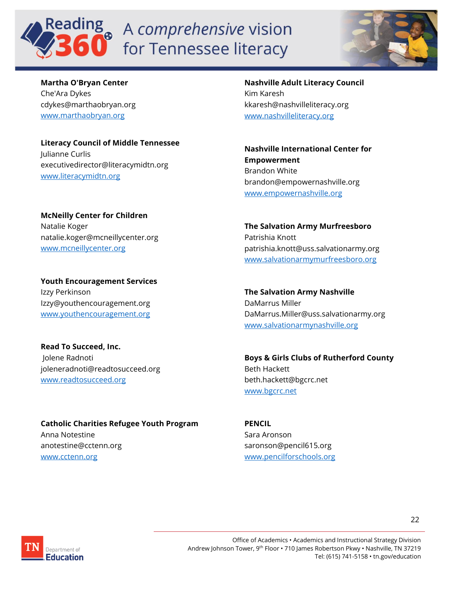## eading a A comprehensive vision for Tennessee literacy

![](_page_21_Picture_1.jpeg)

**Martha O'Bryan Center**  Che'Ara Dykes cdykes@marthaobryan.org [www.marthaobryan.org](http://www.marthaobryan.org/)

**Literacy Council of Middle Tennessee**  Julianne Curlis executivedirector@literacymidtn.org [www.literacymidtn.org](http://www.literacymidtn.org/)

**McNeilly Center for Children**  Natalie Koger natalie.koger@mcneillycenter.org [www.mcneillycenter.org](http://www.mcneillycenter.org/)

**Youth Encouragement Services** Izzy Perkinson Izzy@youthencouragement.org [www.youthencouragement.org](http://www.youthencouragement.org/)

**Read To Succeed, Inc.** Jolene Radnoti joleneradnoti@readtosucceed.org [www.readtosucceed.org](http://www.readtosucceed.org/)

**Catholic Charities Refugee Youth Program** Anna Notestine anotestine@cctenn.org [www.cctenn.org](http://www.cctenn.org/)

**Nashville Adult Literacy Council**  Kim Karesh kkaresh@nashvilleliteracy.org [www.nashvilleliteracy.org](http://www.nashvilleliteracy.org/)

**Nashville International Center for Empowerment**  Brandon White brandon@empowernashville.org [www.empowernashville.org](http://www.empowernashville.org/)

**The Salvation Army Murfreesboro** Patrishia Knott patrishia.knott@uss.salvationarmy.org [www.salvationarmymurfreesboro.org](http://www.salvationarmymurfreesboro.org/)

**The Salvation Army Nashville** DaMarrus Miller DaMarrus.Miller@uss.salvationarmy.org [www.salvationarmynashville.org](http://www.salvationarmynashville.org/)

**Boys & Girls Clubs of Rutherford County** Beth Hackett beth.hackett@bgcrc.net [www.bgcrc.net](http://www.bgcrc.net/)

**PENCIL** Sara Aronson saronson@pencil615.org [www.pencilforschools.org](http://www.pencilforschools.org/)

![](_page_21_Picture_14.jpeg)

Office of Academics • Academics and Instructional Strategy Division Andrew Johnson Tower, 9<sup>th</sup> Floor • 710 James Robertson Pkwy • Nashville, TN 37219 Tel: (615) 741-5158 • tn.gov/education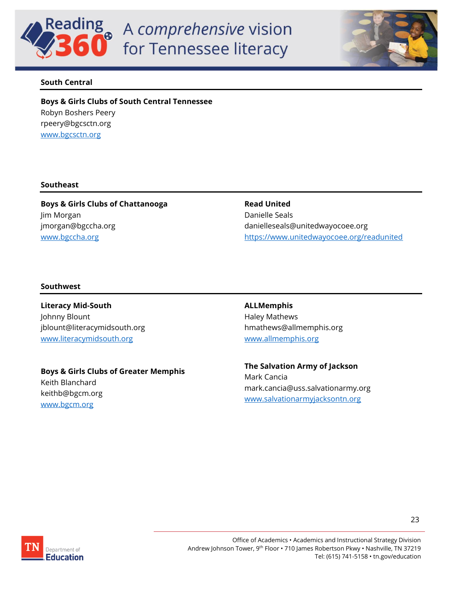![](_page_22_Picture_0.jpeg)

![](_page_22_Picture_1.jpeg)

#### **South Central**

**Boys & Girls Clubs of South Central Tennessee** Robyn Boshers Peery rpeery@bgcsctn.org [www.bgcsctn.org](http://www.bgcsctn.org/)

#### **Southeast**

**Boys & Girls Clubs of Chattanooga** Jim Morgan jmorgan@bgccha.org [www.bgccha.org](http://www.bgccha.org/)

#### **Read United** Danielle Seals danielleseals@unitedwayocoee.org <https://www.unitedwayocoee.org/readunited>

#### **Southwest**

**Literacy Mid-South** Johnny Blount jblount@literacymidsouth.org [www.literacymidsouth.org](http://www.literacymidsouth.org/)

**Boys & Girls Clubs of Greater Memphis** 

Keith Blanchard keithb@bgcm.org [www.bgcm.org](http://www.bgcm.org/)

**ALLMemphis**  Haley Mathews hmathews@allmemphis.org [www.allmemphis.org](http://www.allmemphis.org/)

**The Salvation Army of Jackson** Mark Cancia mark.cancia@uss.salvationarmy.org [www.salvationarmyjacksontn.org](http://www.salvationarmyjacksontn.org/)

![](_page_22_Picture_13.jpeg)

Office of Academics • Academics and Instructional Strategy Division Andrew Johnson Tower, 9<sup>th</sup> Floor • 710 James Robertson Pkwy • Nashville, TN 37219 Tel: (615) 741-5158 • tn.gov/education